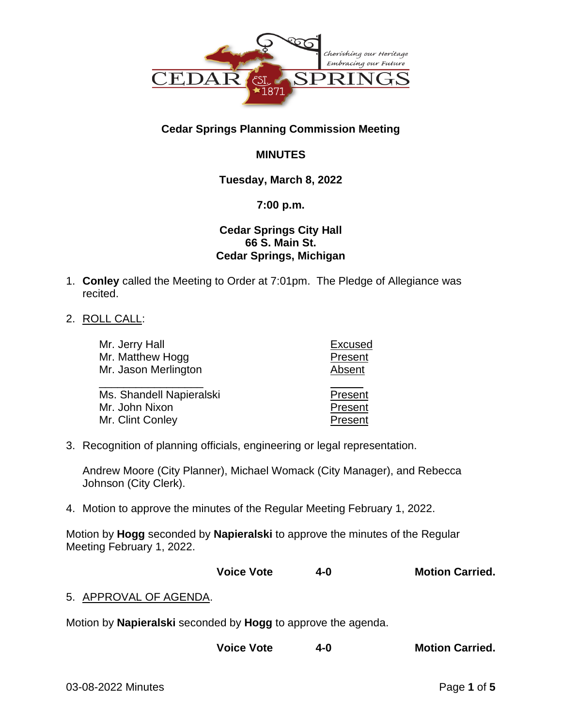

# **Cedar Springs Planning Commission Meeting**

# **MINUTES**

# **Tuesday, March 8, 2022**

### **7:00 p.m.**

## **Cedar Springs City Hall 66 S. Main St. Cedar Springs, Michigan**

- 1. **Conley** called the Meeting to Order at 7:01pm. The Pledge of Allegiance was recited.
- 2. ROLL CALL:

| Mr. Jerry Hall                     | <b>Excused</b>     |
|------------------------------------|--------------------|
| Mr. Matthew Hogg                   | Present            |
| Mr. Jason Merlington               | Absent             |
|                                    |                    |
| Ms. Shandell Napieralski           | Present            |
| Mr. John Nixon<br>Mr. Clint Conley | Present<br>Present |

3. Recognition of planning officials, engineering or legal representation.

Andrew Moore (City Planner), Michael Womack (City Manager), and Rebecca Johnson (City Clerk).

4. Motion to approve the minutes of the Regular Meeting February 1, 2022.

Motion by **Hogg** seconded by **Napieralski** to approve the minutes of the Regular Meeting February 1, 2022.

**Voice Vote 4-0 Motion Carried.**

# 5. APPROVAL OF AGENDA.

Motion by **Napieralski** seconded by **Hogg** to approve the agenda.

**Voice Vote 4-0 Motion Carried.**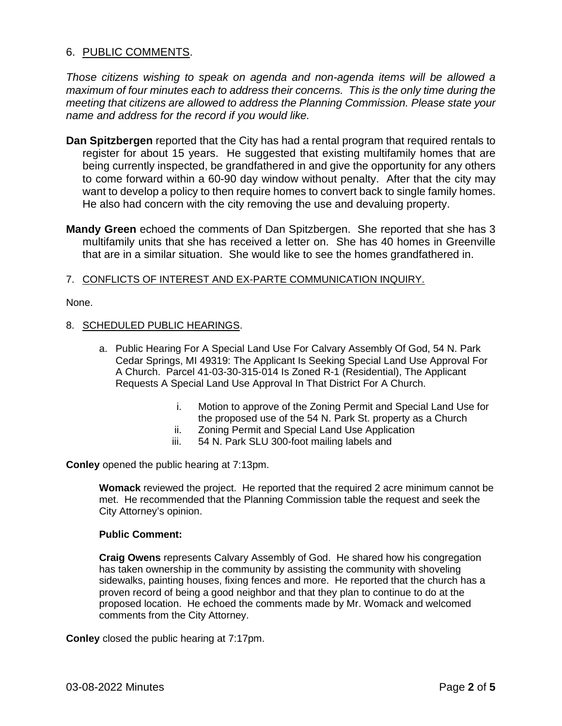### 6. PUBLIC COMMENTS.

*Those citizens wishing to speak on agenda and non-agenda items will be allowed a maximum of four minutes each to address their concerns. This is the only time during the meeting that citizens are allowed to address the Planning Commission. Please state your name and address for the record if you would like.*

- **Dan Spitzbergen** reported that the City has had a rental program that required rentals to register for about 15 years. He suggested that existing multifamily homes that are being currently inspected, be grandfathered in and give the opportunity for any others to come forward within a 60-90 day window without penalty. After that the city may want to develop a policy to then require homes to convert back to single family homes. He also had concern with the city removing the use and devaluing property.
- **Mandy Green** echoed the comments of Dan Spitzbergen. She reported that she has 3 multifamily units that she has received a letter on. She has 40 homes in Greenville that are in a similar situation. She would like to see the homes grandfathered in.

### 7. CONFLICTS OF INTEREST AND EX-PARTE COMMUNICATION INQUIRY.

None.

### 8. SCHEDULED PUBLIC HEARINGS.

- a. Public Hearing For A Special Land Use For Calvary Assembly Of God, 54 N. Park Cedar Springs, MI 49319: The Applicant Is Seeking Special Land Use Approval For A Church. Parcel 41-03-30-315-014 Is Zoned R-1 (Residential), The Applicant Requests A Special Land Use Approval In That District For A Church.
	- i. Motion to approve of the Zoning Permit and Special Land Use for the proposed use of the 54 N. Park St. property as a Church
	- ii. Zoning Permit and Special Land Use Application
	- iii. 54 N. Park SLU 300-foot mailing labels and

**Conley** opened the public hearing at 7:13pm.

**Womack** reviewed the project. He reported that the required 2 acre minimum cannot be met. He recommended that the Planning Commission table the request and seek the City Attorney's opinion.

### **Public Comment:**

**Craig Owens** represents Calvary Assembly of God. He shared how his congregation has taken ownership in the community by assisting the community with shoveling sidewalks, painting houses, fixing fences and more. He reported that the church has a proven record of being a good neighbor and that they plan to continue to do at the proposed location. He echoed the comments made by Mr. Womack and welcomed comments from the City Attorney.

**Conley** closed the public hearing at 7:17pm.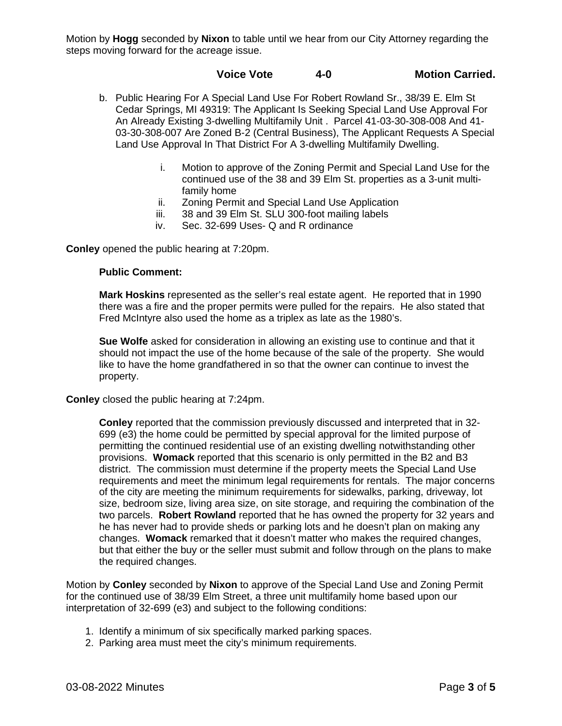Motion by **Hogg** seconded by **Nixon** to table until we hear from our City Attorney regarding the steps moving forward for the acreage issue.

### **Voice Vote 4-0 Motion Carried.**

- b. Public Hearing For A Special Land Use For Robert Rowland Sr., 38/39 E. Elm St Cedar Springs, MI 49319: The Applicant Is Seeking Special Land Use Approval For An Already Existing 3-dwelling Multifamily Unit . Parcel 41-03-30-308-008 And 41- 03-30-308-007 Are Zoned B-2 (Central Business), The Applicant Requests A Special Land Use Approval In That District For A 3-dwelling Multifamily Dwelling.
	- i. Motion to approve of the Zoning Permit and Special Land Use for the continued use of the 38 and 39 Elm St. properties as a 3-unit multifamily home
	- ii. Zoning Permit and Special Land Use Application
	- iii. 38 and 39 Elm St. SLU 300-foot mailing labels
	- iv. Sec. 32-699 Uses- Q and R ordinance

**Conley** opened the public hearing at 7:20pm.

### **Public Comment:**

**Mark Hoskins** represented as the seller's real estate agent. He reported that in 1990 there was a fire and the proper permits were pulled for the repairs. He also stated that Fred McIntyre also used the home as a triplex as late as the 1980's.

**Sue Wolfe** asked for consideration in allowing an existing use to continue and that it should not impact the use of the home because of the sale of the property. She would like to have the home grandfathered in so that the owner can continue to invest the property.

**Conley** closed the public hearing at 7:24pm.

**Conley** reported that the commission previously discussed and interpreted that in 32- 699 (e3) the home could be permitted by special approval for the limited purpose of permitting the continued residential use of an existing dwelling notwithstanding other provisions. **Womack** reported that this scenario is only permitted in the B2 and B3 district. The commission must determine if the property meets the Special Land Use requirements and meet the minimum legal requirements for rentals. The major concerns of the city are meeting the minimum requirements for sidewalks, parking, driveway, lot size, bedroom size, living area size, on site storage, and requiring the combination of the two parcels. **Robert Rowland** reported that he has owned the property for 32 years and he has never had to provide sheds or parking lots and he doesn't plan on making any changes. **Womack** remarked that it doesn't matter who makes the required changes, but that either the buy or the seller must submit and follow through on the plans to make the required changes.

Motion by **Conley** seconded by **Nixon** to approve of the Special Land Use and Zoning Permit for the continued use of 38/39 Elm Street, a three unit multifamily home based upon our interpretation of 32-699 (e3) and subject to the following conditions:

- 1. Identify a minimum of six specifically marked parking spaces.
- 2. Parking area must meet the city's minimum requirements.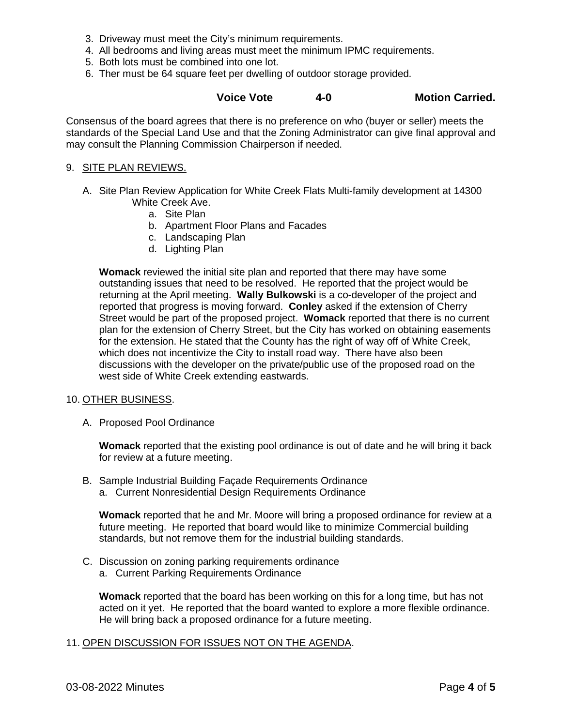- 3. Driveway must meet the City's minimum requirements.
- 4. All bedrooms and living areas must meet the minimum IPMC requirements.
- 5. Both lots must be combined into one lot.
- 6. Ther must be 64 square feet per dwelling of outdoor storage provided.

### **Voice Vote 4-0 Motion Carried.**

Consensus of the board agrees that there is no preference on who (buyer or seller) meets the standards of the Special Land Use and that the Zoning Administrator can give final approval and may consult the Planning Commission Chairperson if needed.

#### 9. SITE PLAN REVIEWS.

- A. Site Plan Review Application for White Creek Flats Multi-family development at 14300 White Creek Ave.
	- a. Site Plan
	- b. Apartment Floor Plans and Facades
	- c. Landscaping Plan
	- d. Lighting Plan

**Womack** reviewed the initial site plan and reported that there may have some outstanding issues that need to be resolved. He reported that the project would be returning at the April meeting. **Wally Bulkowski** is a co-developer of the project and reported that progress is moving forward. **Conley** asked if the extension of Cherry Street would be part of the proposed project. **Womack** reported that there is no current plan for the extension of Cherry Street, but the City has worked on obtaining easements for the extension. He stated that the County has the right of way off of White Creek, which does not incentivize the City to install road way. There have also been discussions with the developer on the private/public use of the proposed road on the west side of White Creek extending eastwards.

#### 10. OTHER BUSINESS.

A. Proposed Pool Ordinance

**Womack** reported that the existing pool ordinance is out of date and he will bring it back for review at a future meeting.

- B. Sample Industrial Building Façade Requirements Ordinance
	- a. Current Nonresidential Design Requirements Ordinance

**Womack** reported that he and Mr. Moore will bring a proposed ordinance for review at a future meeting. He reported that board would like to minimize Commercial building standards, but not remove them for the industrial building standards.

- C. Discussion on zoning parking requirements ordinance
	- a. Current Parking Requirements Ordinance

**Womack** reported that the board has been working on this for a long time, but has not acted on it yet. He reported that the board wanted to explore a more flexible ordinance. He will bring back a proposed ordinance for a future meeting.

### 11. OPEN DISCUSSION FOR ISSUES NOT ON THE AGENDA.